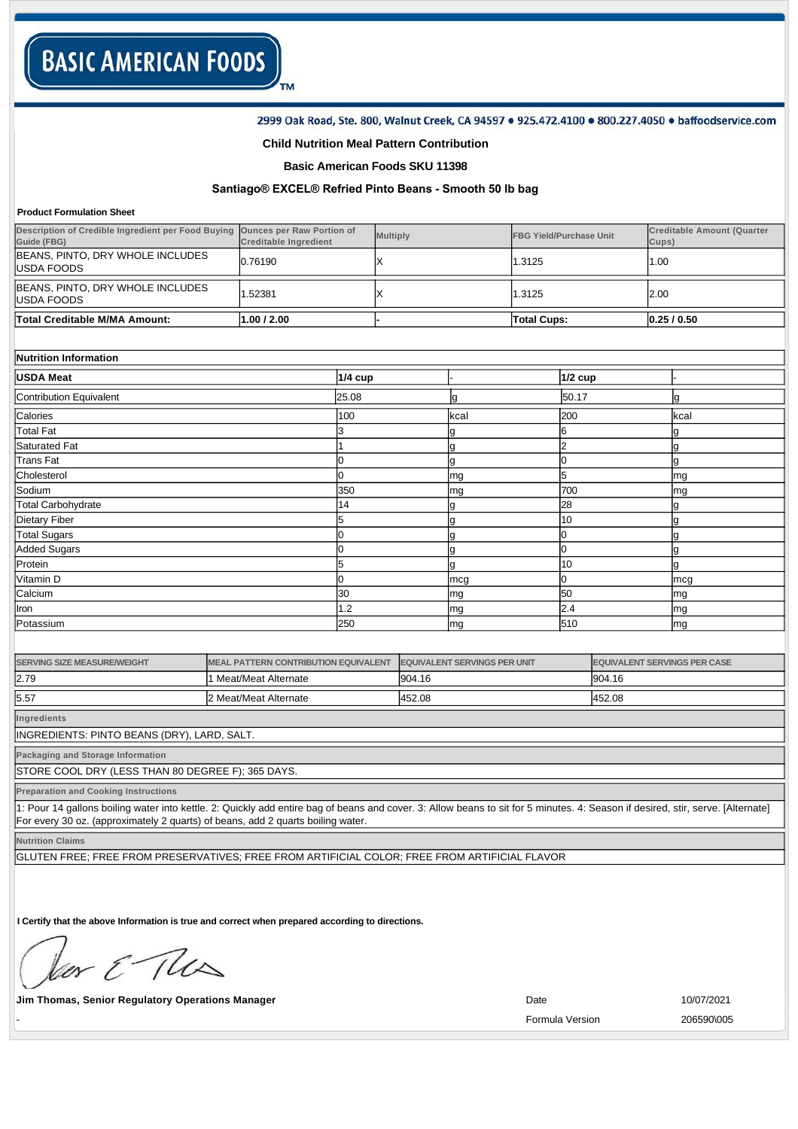2999 Oak Road, Ste. 800, Walnut Creek, CA 94597 . 925.472.4100 . 800.227.4050 . baffoodservice.com

### **Child Nutrition Meal Pattern Contribution**

TM

**Basic American Foods SKU 11398**

# Santiago<sup>®</sup> EXCEL<sup>®</sup> Refried Pinto Beans - Smooth 50 lb bag

#### **Product Formulation Sheet**

| Description of Credible Ingredient per Food Buying<br>Guide (FBG) | <b>Ounces per Raw Portion of</b><br><b>Creditable Ingredient</b> |           | <b>Multiply</b> |      | <b>FBG Yield/Purchase Unit</b> |                | <b>Creditable Amount (Quarter</b><br>Cups) |           |
|-------------------------------------------------------------------|------------------------------------------------------------------|-----------|-----------------|------|--------------------------------|----------------|--------------------------------------------|-----------|
| BEANS, PINTO, DRY WHOLE INCLUDES<br>USDA FOODS                    | 0.76190                                                          |           | х               |      | 1.3125                         |                | 1.00                                       |           |
| BEANS, PINTO, DRY WHOLE INCLUDES<br>USDA FOODS                    | 1.52381                                                          |           | X               |      | 1.3125                         |                | 2.00                                       |           |
| Total Creditable M/MA Amount:                                     | 1.00 / 2.00                                                      |           |                 |      | <b>Total Cups:</b>             |                |                                            | 0.25/0.50 |
|                                                                   |                                                                  |           |                 |      |                                |                |                                            |           |
| Nutrition Information                                             |                                                                  |           |                 |      |                                |                |                                            |           |
| <b>USDA Meat</b>                                                  |                                                                  | $1/4$ cup |                 |      |                                | <b>1/2 cup</b> |                                            |           |
| Contribution Equivalent                                           |                                                                  | 25.08     |                 | g    |                                | 50.17          |                                            | g         |
| Calories                                                          |                                                                  | 100       |                 | kcal |                                | 200            |                                            | kcal      |
| <b>Total Fat</b>                                                  |                                                                  | 3         |                 | g    |                                | 6              |                                            | g         |
| Saturated Fat                                                     |                                                                  |           |                 | g    |                                | $\overline{2}$ |                                            | g         |
| <b>Trans Fat</b>                                                  |                                                                  | 0         |                 | g    |                                | 0              |                                            | g         |
| Cholesterol                                                       |                                                                  | $\Omega$  |                 | mg   |                                | 5              |                                            | mg        |
| Sodium                                                            |                                                                  | 350       |                 | mg   |                                | 700            |                                            | mg        |
| <b>Total Carbohydrate</b>                                         |                                                                  | 14        |                 | g    |                                | 28             |                                            |           |
| <b>Dietary Fiber</b>                                              |                                                                  | 5         |                 | g    |                                | 10             |                                            | g         |
| <b>Total Sugars</b>                                               |                                                                  | 0         |                 | g    |                                | 0              |                                            |           |
| <b>Added Sugars</b>                                               |                                                                  |           |                 | g    |                                | O              |                                            | g         |
| Protein                                                           |                                                                  |           |                 | g    |                                | 10             |                                            | g         |
| Vitamin D                                                         |                                                                  | 0         |                 | mcg  |                                | O              |                                            | mcg       |
| Calcium                                                           |                                                                  | 30        |                 | mg   |                                | 50             |                                            | mg        |
| <b>I</b> ron                                                      |                                                                  | 1.2       |                 | mg   |                                | 2.4            |                                            | mg        |
| Potassium                                                         |                                                                  | 250       |                 | mg   |                                | 510            |                                            | mg        |

| <b>SERVING SIZE MEASURE/WEIGHT</b> | <b>IMEAL PATTERN CONTRIBUTION EQUIVALENT</b> | <b>EQUIVALENT SERVINGS PER UNIT</b> | <b>EQUIVALENT SERVINGS PER CASE</b> |
|------------------------------------|----------------------------------------------|-------------------------------------|-------------------------------------|
| 2.79                               | Meat/Meat Alternate                          | 904.16                              | 904.16                              |
| 5.57                               | 2 Meat/Meat Alternate                        | 452.08                              | 452.08                              |

**Ingredients**

INGREDIENTS: PINTO BEANS (DRY), LARD, SALT.

**Packaging and Storage Information**

STORE COOL DRY (LESS THAN 80 DEGREE F); 365 DAYS.

**Preparation and Cooking Instructions**

1: Pour 14 gallons boiling water into kettle. 2: Quickly add entire bag of beans and cover. 3: Allow beans to sit for 5 minutes. 4: Season if desired, stir, serve. [Alternate] For every 30 oz. (approximately 2 quarts) of beans, add 2 quarts boiling water.

**Nutrition Claims**

GLUTEN FREE; FREE FROM PRESERVATIVES; FREE FROM ARTIFICIAL COLOR; FREE FROM ARTIFICIAL FLAVOR

**I Certify that the above Information is true and correct when prepared according to directions.** 

or & The

**Jim Thomas, Senior Regulatory Operations Manager Community Community Community Community Community Community Community Community Community Community Community Community Community Community Community Community Community** 

Formula Version 206590\005